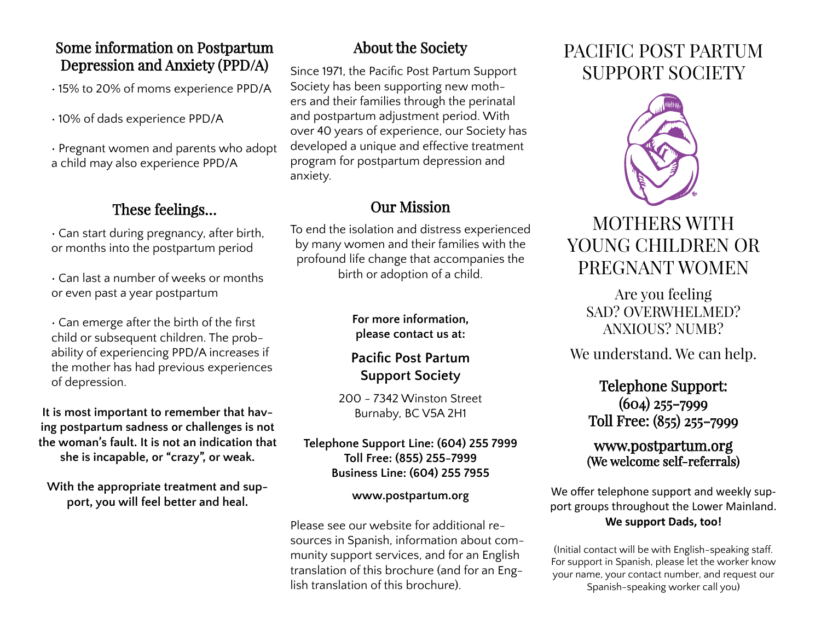## Some information on Postpartum Depression and Anxiety (PPD/A)

• 15% to 20% of moms experience PPD/A

• 10% of dads experience PPD/A

• Pregnant women and parents who adopt a child may also experience PPD/A

# These feelings…

• Can start during pregnancy, after birth, or months into the postpartum period

• Can last a number of weeks or months or even past a year postpartum

• Can emerge after the birth of the first child or subsequent children. The probability of experiencing PPD/A increases if the mother has had previous experiences of depression.

**It is most important to remember that having postpartum sadness or challenges is not the woman's fault. It is not an indication that she is incapable, or "crazy", or weak.**

**With the appropriate treatment and support, you will feel better and heal.**

# About the Society

Since 1971, the Pacific Post Partum Support Society has been supporting new mothers and their families through the perinatal and postpartum adjustment period. With over 40 years of experience, our Society has developed a unique and effective treatment program for postpartum depression and anxiety.

# Our Mission

To end the isolation and distress experienced by many women and their families with the profound life change that accompanies the birth or adoption of a child.

### **For more information, please contact us at:**

## **Pacific Post Partum Support Society**

200 - 7342 Winston Street Burnaby, BC V5A 2H1

#### **Telephone Support Line: (604) 255 7999 Toll Free: (855) 255-7999 Business Line: (604) 255 7955**

#### **www.postpartum.org**

Please see our website for additional resources in Spanish, information about community support services, and for an English translation of this brochure (and for an English translation of this brochure).

# PACIFIC POST PARTUM SUPPORT SOCIETY



# MOTHERS WITH YOUNG CHILDREN OR PREGNANT WOMEN

Are you feeling SAD? OVERWHELMED? ANXIOUS? NUMB?

We understand. We can help.

## Telephone Support: (604) 255-7999 Toll Free: (855) 255-7999

### www.postpartum.org (We welcome self-referrals)

We offer telephone support and weekly support groups throughout the Lower Mainland. **We support Dads, too!**

(Initial contact will be with English-speaking staff. For support in Spanish, please let the worker know your name, your contact number, and request our Spanish-speaking worker call you)